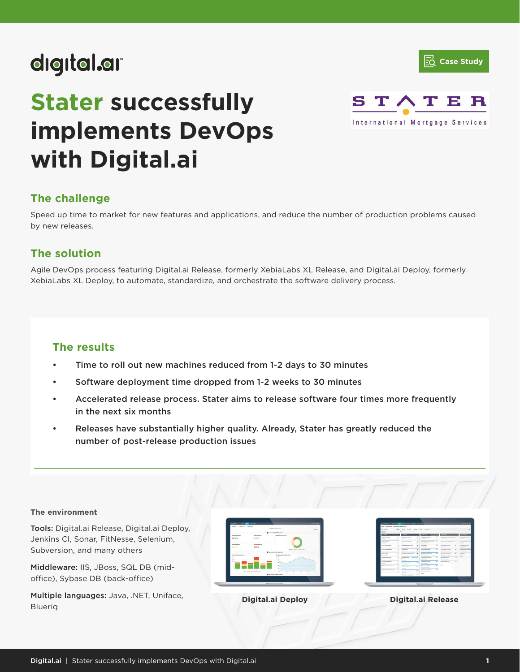



# **Stater successfully implements DevOps with Digital.ai**



## **The challenge**

Speed up time to market for new features and applications, and reduce the number of production problems caused by new releases.

## **The solution**

Agile DevOps process featuring Digital.ai Release, formerly XebiaLabs XL Release, and Digital.ai Deploy, formerly XebiaLabs XL Deploy, to automate, standardize, and orchestrate the software delivery process.

## **The results**

- Time to roll out new machines reduced from 1-2 days to 30 minutes
- Software deployment time dropped from 1-2 weeks to 30 minutes
- Accelerated release process. Stater aims to release software four times more frequently in the next six months
- Releases have substantially higher quality. Already, Stater has greatly reduced the number of post-release production issues

## **The environment**

Tools: Digital.ai Release, Digital.ai Deploy, Jenkins CI, Sonar, FitNesse, Selenium, Subversion, and many others

Middleware: IIS, JBoss, SQL DB (midoffice), Sybase DB (back-office)

Multiple languages: Java, .NET, Uniface, Blueriq

| <b>BARNEY</b><br>managem. Generated |                               |                                       |                               |
|-------------------------------------|-------------------------------|---------------------------------------|-------------------------------|
|                                     |                               | DRAWING CONTROL                       | <b>STATE</b>                  |
|                                     |                               | <b>BANANCIAN SURE</b>                 |                               |
| Association                         | <b>Rent belower</b>           | <b>Interesting crisis</b>             |                               |
| \$8,08%                             | 3,23%                         |                                       |                               |
| <b>Showarants</b>                   | and the former of             |                                       |                               |
| 25.81%                              | 12.9%                         | <b>British White Military British</b> |                               |
|                                     |                               | <b>Business admitsures</b>            |                               |
| <b>Bulletin A Ballymour Letters</b> |                               | A FAILURE CONTROL FOR ANY WILL        |                               |
|                                     |                               |                                       |                               |
|                                     |                               |                                       |                               |
|                                     |                               |                                       |                               |
| $\sim$                              |                               |                                       |                               |
| ۰<br>$\sim$                         | $\overline{a}$<br>$\sim$<br>× | $\sim$                                |                               |
|                                     | IN NAMES OF TAXABLE PARTY.    | A.<br>÷<br>$\sim$<br>٠                | $\overline{\phantom{a}}$<br>÷ |
|                                     |                               | <b>B</b> on interest points that the  |                               |
|                                     |                               |                                       |                               |
|                                     |                               |                                       |                               |

| Retail: > Enterna-Renal + European Renal & Addresser  |                               |                                                                              |                        |                                                                                          |                |                                                            |                          |                                                |
|-------------------------------------------------------|-------------------------------|------------------------------------------------------------------------------|------------------------|------------------------------------------------------------------------------------------|----------------|------------------------------------------------------------|--------------------------|------------------------------------------------|
| <b>Bill</b> Service                                   |                               | 1. Mill was have seen part seems                                             |                        |                                                                                          |                |                                                            |                          |                                                |
|                                                       |                               |                                                                              |                        |                                                                                          |                |                                                            |                          |                                                |
| --                                                    |                               | $\overline{\phantom{a}}$                                                     |                        | $\frac{1}{2}$                                                                            |                |                                                            |                          | $\frac{1}{2}$                                  |
| <b>PARATURE</b><br><b>MARKET</b><br>---               | $\overline{a}$<br>and a       | <b>SEARCH AND REAL PROPERTY</b><br><b>Includes</b>                           | ÷<br>$\sim$            | <b>Return Controller</b><br><b>SCHOOL SECTION</b>                                        | $\overline{a}$ | <b>Marine methods training</b><br><b>CONTRACTOR</b>        |                          | <b>School School</b><br><b>COLER</b>           |
| <b>STATISTICS</b><br><b>CONTRACTOR</b>                | x<br><b>COL</b>               | <b>CARD CROSSING</b>                                                         | ٠<br>$\sim$            | <b>Representative Construction Construction</b><br><b><i><u>ALCOHOL: CONTROL</u></i></b> |                | anyone dealership and a                                    |                          | designation in an<br><b>STATE</b>              |
| <b>Article and heligeavity</b>                        | ٠<br>-                        | the party stress work on their                                               | -                      | <b>Bernardscher</b><br><b>Service Control</b>                                            | ÷              | <b>Book and Schools</b><br>home interests                  | $\sim$                   | Telephone and the<br><b>STATISTICS</b><br>-    |
| Arizonnessement                                       | ٠<br>$\sim$                   | <b>Contribute</b><br><b>STATISTICS</b>                                       | $\cdot$<br><b>COLL</b> | <b>Exhibition have</b><br><b>Book of All Angeles</b>                                     | ÷              | <b>Bullet and manufacturers</b><br><b>Sixtendo Michael</b> | $\sim$                   | <b>Witness Artists</b><br><b>School School</b> |
| Arrest Marie<br><b>SALES AND</b>                      | ٠<br>$\sim$                   | THE R TREADY PARK SHOWS CARD                                                 | ٠<br>$\sim$            | <b><i><u>Building Colors and Colors</u></i></b><br><b>CONTRACTOR</b>                     | Ŧ              | <b>Multi-Service Strip</b><br><b>STATE CONTRACTOR</b>      | $\sim$                   | <b>STATISTICS</b><br><b>STATE</b>              |
| <b>Bank Morrison Ford</b><br>____                     | $\overline{a}$<br>$\sim$<br>- | <b>STATE</b><br><b>STATISTICS</b><br><b>B</b> Adventure<br><b>STATISTICS</b> | -                      | <b>Baltimore Advise to Assessed</b><br><b>STATE ROOM</b>                                 | w              | <b>Representative</b><br><b>STATISTICS</b>                 | $\overline{\phantom{a}}$ | <b>STATE</b>                                   |
| <b><i><u>Bonney Carrier</u></i></b><br><b>Service</b> | $\overline{a}$<br>-           | <b>Stanley show models</b>                                                   | $\overline{a}$         | <b><i><u>Electronic state</u></i></b><br><b>College Ave</b>                              | $\overline{a}$ | An inclusively                                             | <b>William</b>           |                                                |
| <b>March Fly received at the</b>                      | ٠<br>$\sim$                   | <b>STATISTICS</b><br><b>BATTLEMANIA</b><br>www.com                           | $\overline{a}$         | <b>Folk and Advertisingly</b><br><b>NEWSFILM</b>                                         | $\overline{a}$ | sense.                                                     |                          |                                                |
| <b>STURFING AFTER EXECUT</b>                          | ٠<br>v.                       | --<br><b>Building Scott over the .</b><br><b>STATISTICS</b>                  | т                      | _<br><b>Build to You've tough</b><br><b>MONTHS COMPANY</b>                               | ×              |                                                            |                          |                                                |
|                                                       |                               | Fire professor is deliver received                                           | $\sim$                 | <b>STORY</b>                                                                             |                |                                                            |                          |                                                |

**Digital.ai Deploy Digital.ai Release**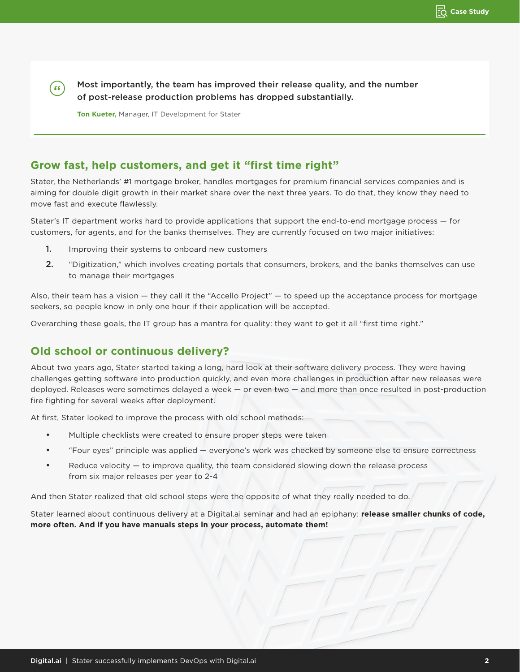Most importantly, the team has improved their release quality, and the number of post-release production problems has dropped substantially.

**Ton Kueter,** Manager, IT Development for Stater

(66)

## **Grow fast, help customers, and get it "first time right"**

Stater, the Netherlands' #1 mortgage broker, handles mortgages for premium financial services companies and is aiming for double digit growth in their market share over the next three years. To do that, they know they need to move fast and execute flawlessly.

Stater's IT department works hard to provide applications that support the end-to-end mortgage process — for customers, for agents, and for the banks themselves. They are currently focused on two major initiatives:

- 1. Improving their systems to onboard new customers
- 2. "Digitization," which involves creating portals that consumers, brokers, and the banks themselves can use to manage their mortgages

Also, their team has a vision — they call it the "Accello Project" — to speed up the acceptance process for mortgage seekers, so people know in only one hour if their application will be accepted.

Overarching these goals, the IT group has a mantra for quality: they want to get it all "first time right."

# **Old school or continuous delivery?**

About two years ago, Stater started taking a long, hard look at their software delivery process. They were having challenges getting software into production quickly, and even more challenges in production after new releases were deployed. Releases were sometimes delayed a week — or even two — and more than once resulted in post-production fire fighting for several weeks after deployment.

At first, Stater looked to improve the process with old school methods:

- Multiple checklists were created to ensure proper steps were taken
- "Four eyes" principle was applied everyone's work was checked by someone else to ensure correctness
- Reduce velocity to improve quality, the team considered slowing down the release process from six major releases per year to 2-4

And then Stater realized that old school steps were the opposite of what they really needed to do.

Stater learned about continuous delivery at a Digital.ai seminar and had an epiphany: **release smaller chunks of code, more often. And if you have manuals steps in your process, automate them!**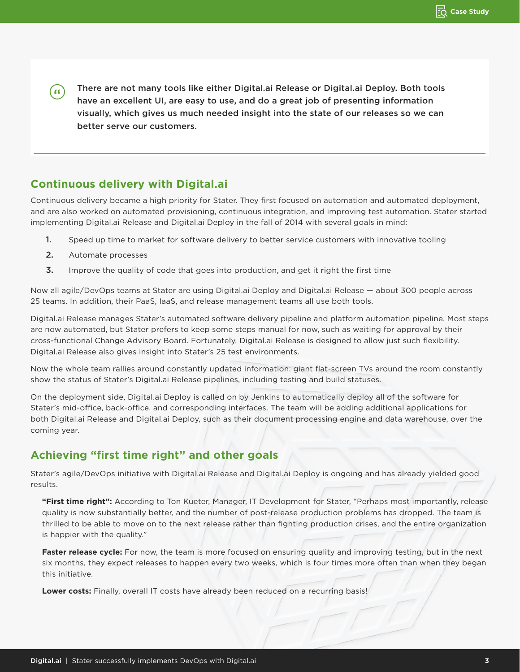There are not many tools like either Digital.ai Release or Digital.ai Deploy. Both tools ( 66 ) have an excellent UI, are easy to use, and do a great job of presenting information visually, which gives us much needed insight into the state of our releases so we can better serve our customers.

## **Continuous delivery with Digital.ai**

Continuous delivery became a high priority for Stater. They first focused on automation and automated deployment, and are also worked on automated provisioning, continuous integration, and improving test automation. Stater started implementing Digital.ai Release and Digital.ai Deploy in the fall of 2014 with several goals in mind:

- 1. Speed up time to market for software delivery to better service customers with innovative tooling
- 2. Automate processes
- **3.** Improve the quality of code that goes into production, and get it right the first time

Now all agile/DevOps teams at Stater are using Digital.ai Deploy and Digital.ai Release — about 300 people across 25 teams. In addition, their PaaS, IaaS, and release management teams all use both tools.

Digital.ai Release manages Stater's automated software delivery pipeline and platform automation pipeline. Most steps are now automated, but Stater prefers to keep some steps manual for now, such as waiting for approval by their cross-functional Change Advisory Board. Fortunately, Digital.ai Release is designed to allow just such flexibility. Digital.ai Release also gives insight into Stater's 25 test environments.

Now the whole team rallies around constantly updated information: giant flat-screen TVs around the room constantly show the status of Stater's Digital.ai Release pipelines, including testing and build statuses.

On the deployment side, Digital.ai Deploy is called on by Jenkins to automatically deploy all of the software for Stater's mid-office, back-office, and corresponding interfaces. The team will be adding additional applications for both Digital.ai Release and Digital.ai Deploy, such as their document processing engine and data warehouse, over the coming year.

## **Achieving "first time right" and other goals**

Stater's agile/DevOps initiative with Digital.ai Release and Digital.ai Deploy is ongoing and has already yielded good results.

**"First time right":** According to Ton Kueter, Manager, IT Development for Stater, "Perhaps most importantly, release quality is now substantially better, and the number of post-release production problems has dropped. The team is thrilled to be able to move on to the next release rather than fighting production crises, and the entire organization is happier with the quality."

**Faster release cycle:** For now, the team is more focused on ensuring quality and improving testing, but in the next six months, they expect releases to happen every two weeks, which is four times more often than when they began this initiative.

**Lower costs:** Finally, overall IT costs have already been reduced on a recurring basis!